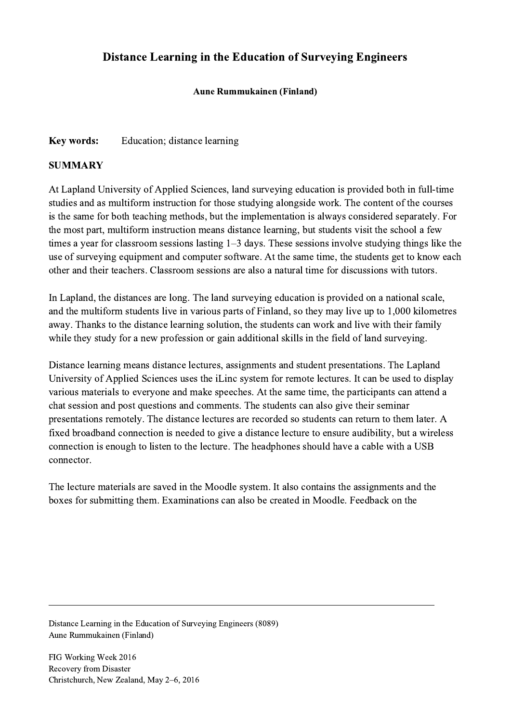## Distance Learning in the Education of Surveying Engineers

## Aune Rummukainen (Finland)

## Key words: Education; distance learning

## **SUMMARY**

At Lapland University of Applied Sciences, land surveying education is provided both in full-time studies and as multiform instruction for those studying alongside work. The content of the courses is the same for both teaching methods, but the implementation is always considered separately. For the most part, multiform instruction means distance learning, but students visit the school a few times a year for classroom sessions lasting 1–3 days. These sessions involve studying things like the use of surveying equipment and computer software. At the same time, the students get to know each other and their teachers. Classroom sessions are also a natural time for discussions with tutors.

In Lapland, the distances are long. The land surveying education is provided on a national scale, and the multiform students live in various parts of Finland, so they may live up to 1,000 kilometres away. Thanks to the distance learning solution, the students can work and live with their family while they study for a new profession or gain additional skills in the field of land surveying.

Distance learning means distance lectures, assignments and student presentations. The Lapland University of Applied Sciences uses the iLinc system for remote lectures. It can be used to display various materials to everyone and make speeches. At the same time, the participants can attend a chat session and post questions and comments. The students can also give their seminar presentations remotely. The distance lectures are recorded so students can return to them later. A fixed broadband connection is needed to give a distance lecture to ensure audibility, but a wireless connection is enough to listen to the lecture. The headphones should have a cable with a USB connector.

The lecture materials are saved in the Moodle system. It also contains the assignments and the boxes for submitting them. Examinations can also be created in Moodle. Feedback on the

 $\mathcal{L}_\mathcal{L} = \{ \mathcal{L}_\mathcal{L} = \{ \mathcal{L}_\mathcal{L} = \{ \mathcal{L}_\mathcal{L} = \{ \mathcal{L}_\mathcal{L} = \{ \mathcal{L}_\mathcal{L} = \{ \mathcal{L}_\mathcal{L} = \{ \mathcal{L}_\mathcal{L} = \{ \mathcal{L}_\mathcal{L} = \{ \mathcal{L}_\mathcal{L} = \{ \mathcal{L}_\mathcal{L} = \{ \mathcal{L}_\mathcal{L} = \{ \mathcal{L}_\mathcal{L} = \{ \mathcal{L}_\mathcal{L} = \{ \mathcal{L}_\mathcal{$ 

Distance Learning in the Education of Surveying Engineers (8089) Aune Rummukainen (Finland)

FIG Working Week 2016 Recovery from Disaster Christchurch, New Zealand, May 2–6, 2016